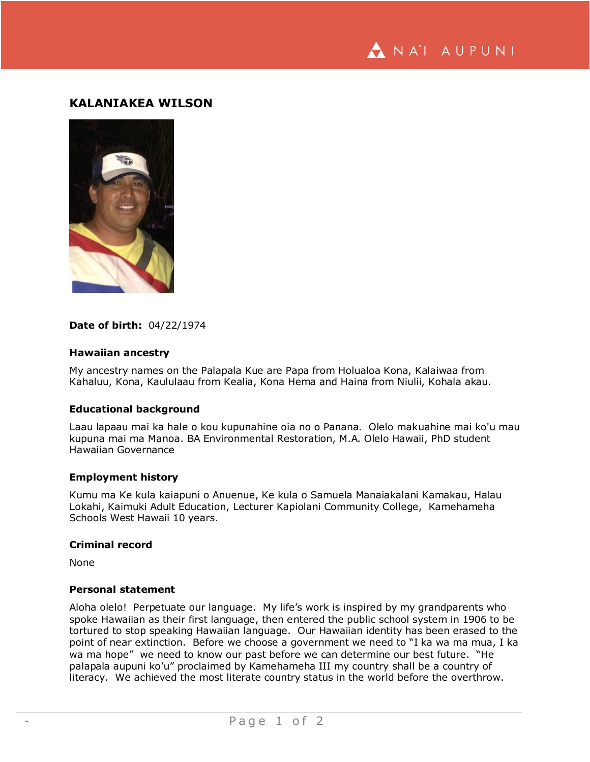ANA'I AUPUNI

# **KALANIAKEA WILSON**



## **Date of birth:** 04/22/1974

## **Hawaiian ancestry**

My ancestry names on the Palapala Kue are Papa from Holualoa Kona, Kalaiwaa from Kahaluu, Kona, Kaululaau from Kealia, Kona Hema and Haina from Niulii, Kohala akau.

#### **Educational background**

Laau lapaau mai ka hale o kou kupunahine oia no o Panana. Olelo makuahine mai ko'u mau kupuna mai ma Manoa. BA Environmental Restoration, M.A. Olelo Hawaii, PhD student Hawaiian Governance

#### **Employment history**

Kumu ma Ke kula kaiapuni o Anuenue, Ke kula o Samuela Manaiakalani Kamakau, Halau Lokahi, Kaimuki Adult Education, Lecturer Kapiolani Community College, Kamehameha Schools West Hawaii 10 years.

#### **Criminal record**

None

#### **Personal statement**

Aloha olelo! Perpetuate our language. My life's work is inspired by my grandparents who spoke Hawaiian as their first language, then entered the public school system in 1906 to be tortured to stop speaking Hawaiian language. Our Hawaiian identity has been erased to the point of near extinction. Before we choose a government we need to "I ka wa ma mua, I ka wa ma hope" we need to know our past before we can determine our best future. "He palapala aupuni ko'u" proclaimed by Kamehameha III my country shall be a country of literacy. We achieved the most literate country status in the world before the overthrow.